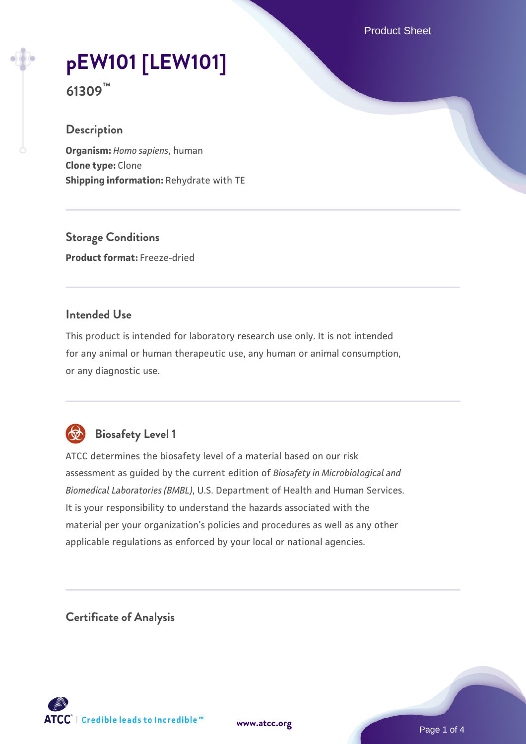Product Sheet

# **[pEW101 \[LEW101\]](https://www.atcc.org/products/61309)**

**61309™**

## **Description**

**Organism:** *Homo sapiens*, human **Clone type:** Clone **Shipping information:** Rehydrate with TE

**Storage Conditions Product format:** Freeze-dried

#### **Intended Use**

This product is intended for laboratory research use only. It is not intended for any animal or human therapeutic use, any human or animal consumption, or any diagnostic use.



# **Biosafety Level 1**

ATCC determines the biosafety level of a material based on our risk assessment as guided by the current edition of *Biosafety in Microbiological and Biomedical Laboratories (BMBL)*, U.S. Department of Health and Human Services. It is your responsibility to understand the hazards associated with the material per your organization's policies and procedures as well as any other applicable regulations as enforced by your local or national agencies.

**Certificate of Analysis**

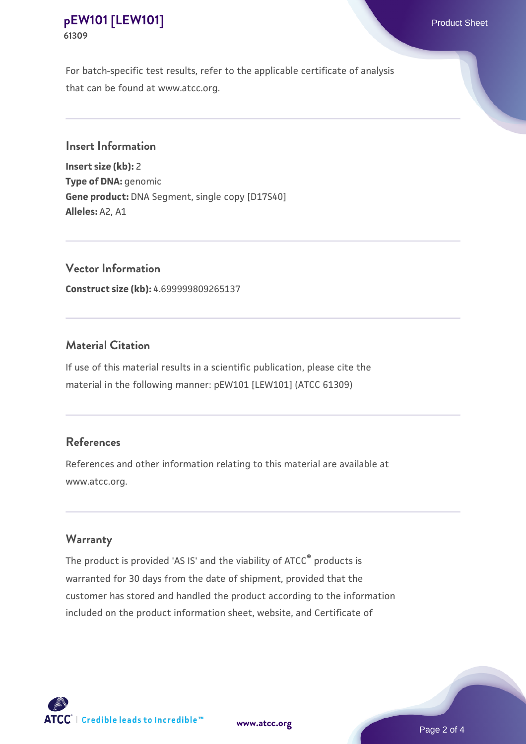## **[pEW101 \[LEW101\]](https://www.atcc.org/products/61309)** Product Sheet **61309**

For batch-specific test results, refer to the applicable certificate of analysis that can be found at www.atcc.org.

**Insert Information**

**Insert size (kb):** 2 **Type of DNA:** genomic **Gene product:** DNA Segment, single copy [D17S40] **Alleles:** A2, A1

**Vector Information Construct size (kb):** 4.699999809265137

## **Material Citation**

If use of this material results in a scientific publication, please cite the material in the following manner: pEW101 [LEW101] (ATCC 61309)

## **References**

References and other information relating to this material are available at www.atcc.org.

#### **Warranty**

The product is provided 'AS IS' and the viability of ATCC® products is warranted for 30 days from the date of shipment, provided that the customer has stored and handled the product according to the information included on the product information sheet, website, and Certificate of



**[www.atcc.org](http://www.atcc.org)**

Page 2 of 4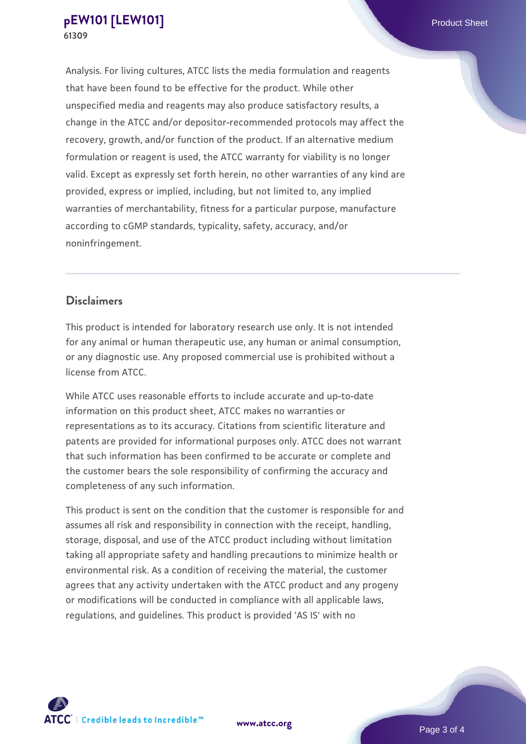Analysis. For living cultures, ATCC lists the media formulation and reagents that have been found to be effective for the product. While other unspecified media and reagents may also produce satisfactory results, a change in the ATCC and/or depositor-recommended protocols may affect the recovery, growth, and/or function of the product. If an alternative medium formulation or reagent is used, the ATCC warranty for viability is no longer valid. Except as expressly set forth herein, no other warranties of any kind are provided, express or implied, including, but not limited to, any implied warranties of merchantability, fitness for a particular purpose, manufacture according to cGMP standards, typicality, safety, accuracy, and/or noninfringement.

#### **Disclaimers**

This product is intended for laboratory research use only. It is not intended for any animal or human therapeutic use, any human or animal consumption, or any diagnostic use. Any proposed commercial use is prohibited without a license from ATCC.

While ATCC uses reasonable efforts to include accurate and up-to-date information on this product sheet, ATCC makes no warranties or representations as to its accuracy. Citations from scientific literature and patents are provided for informational purposes only. ATCC does not warrant that such information has been confirmed to be accurate or complete and the customer bears the sole responsibility of confirming the accuracy and completeness of any such information.

This product is sent on the condition that the customer is responsible for and assumes all risk and responsibility in connection with the receipt, handling, storage, disposal, and use of the ATCC product including without limitation taking all appropriate safety and handling precautions to minimize health or environmental risk. As a condition of receiving the material, the customer agrees that any activity undertaken with the ATCC product and any progeny or modifications will be conducted in compliance with all applicable laws, regulations, and guidelines. This product is provided 'AS IS' with no